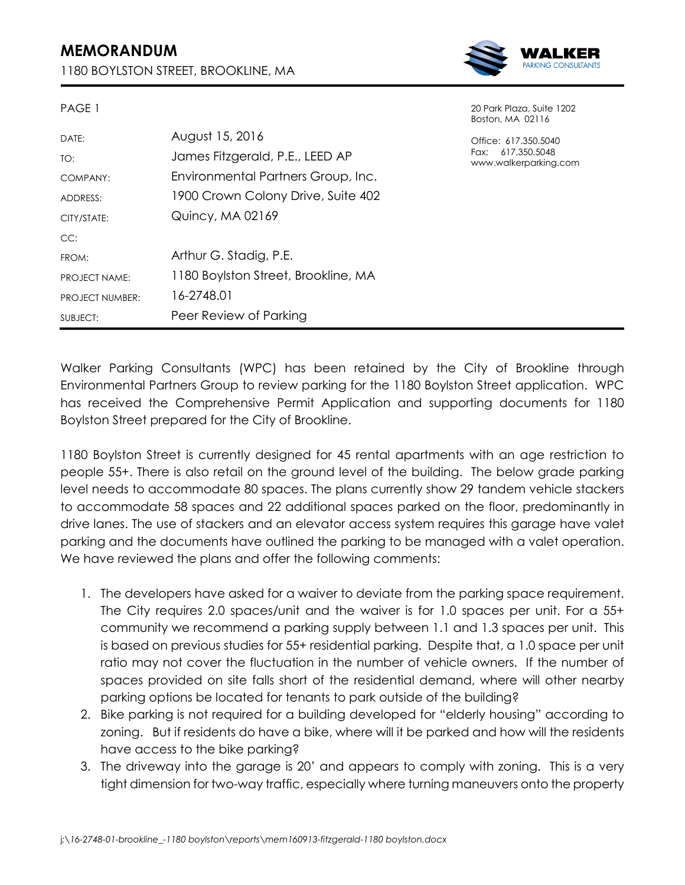## **MEMORANDUM**

PAGE 1

1180 BOYLSTON STREET, BROOKLINE, MA



20 Park Plaza, Suite 1202 Boston, MA 02116

Office: 617.350.5040 Fax: 617.350.5048 erparking.com

|                        |                                     | <b>UUSIULI, IVI</b>  |
|------------------------|-------------------------------------|----------------------|
| DATE:                  | August 15, 2016                     | Office: 61           |
| TO:                    | James Fitzgerald, P.E., LEED AP     | Fax: 617<br>www.walk |
| COMPANY:               | Environmental Partners Group, Inc.  |                      |
| ADDRESS:               | 1900 Crown Colony Drive, Suite 402  |                      |
| CITY/STATE:            | Quincy, MA 02169                    |                      |
| CC:                    |                                     |                      |
| FROM:                  | Arthur G. Stadig, P.E.              |                      |
| PROJECT NAME:          | 1180 Boylston Street, Brookline, MA |                      |
| <b>PROJECT NUMBER:</b> | 16-2748.01                          |                      |
| SUBJECT:               | Peer Review of Parking              |                      |

Walker Parking Consultants (WPC) has been retained by the City of Brookline through Environmental Partners Group to review parking for the 1180 Boylston Street application. WPC has received the Comprehensive Permit Application and supporting documents for 1180 Boylston Street prepared for the City of Brookline.

1180 Boylston Street is currently designed for 45 rental apartments with an age restriction to people 55+. There is also retail on the ground level of the building. The below grade parking level needs to accommodate 80 spaces. The plans currently show 29 tandem vehicle stackers to accommodate 58 spaces and 22 additional spaces parked on the floor, predominantly in drive lanes. The use of stackers and an elevator access system requires this garage have valet parking and the documents have outlined the parking to be managed with a valet operation. We have reviewed the plans and offer the following comments:

- 1. The developers have asked for a waiver to deviate from the parking space requirement. The City requires 2.0 spaces/unit and the waiver is for 1.0 spaces per unit. For a 55+ community we recommend a parking supply between 1.1 and 1.3 spaces per unit. This is based on previous studies for 55+ residential parking. Despite that, a 1.0 space per unit ratio may not cover the fluctuation in the number of vehicle owners. If the number of spaces provided on site falls short of the residential demand, where will other nearby parking options be located for tenants to park outside of the building?
- 2. Bike parking is not required for a building developed for "elderly housing" according to zoning. But if residents do have a bike, where will it be parked and how will the residents have access to the bike parking?
- 3. The driveway into the garage is 20' and appears to comply with zoning. This is a very tight dimension for two-way traffic, especially where turning maneuvers onto the property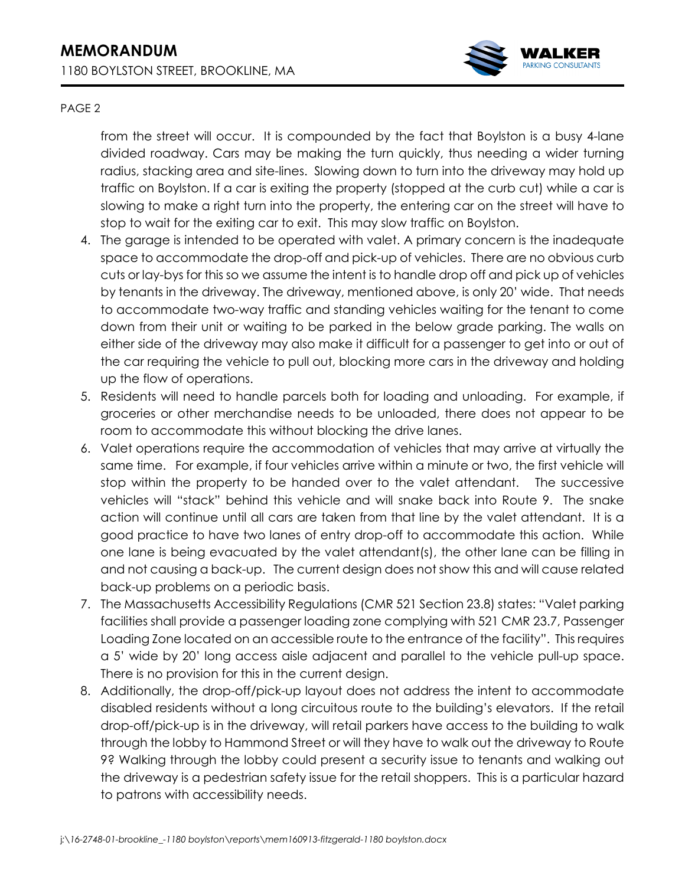

## PAGE 2

from the street will occur. It is compounded by the fact that Boylston is a busy 4-lane divided roadway. Cars may be making the turn quickly, thus needing a wider turning radius, stacking area and site-lines. Slowing down to turn into the driveway may hold up traffic on Boylston. If a car is exiting the property (stopped at the curb cut) while a car is slowing to make a right turn into the property, the entering car on the street will have to stop to wait for the exiting car to exit. This may slow traffic on Boylston.

- 4. The garage is intended to be operated with valet. A primary concern is the inadequate space to accommodate the drop-off and pick-up of vehicles. There are no obvious curb cuts or lay-bys for this so we assume the intent is to handle drop off and pick up of vehicles by tenants in the driveway. The driveway, mentioned above, is only 20' wide. That needs to accommodate two-way traffic and standing vehicles waiting for the tenant to come down from their unit or waiting to be parked in the below grade parking. The walls on either side of the driveway may also make it difficult for a passenger to get into or out of the car requiring the vehicle to pull out, blocking more cars in the driveway and holding up the flow of operations.
- 5. Residents will need to handle parcels both for loading and unloading. For example, if groceries or other merchandise needs to be unloaded, there does not appear to be room to accommodate this without blocking the drive lanes.
- 6. Valet operations require the accommodation of vehicles that may arrive at virtually the same time. For example, if four vehicles arrive within a minute or two, the first vehicle will stop within the property to be handed over to the valet attendant. The successive vehicles will "stack" behind this vehicle and will snake back into Route 9. The snake action will continue until all cars are taken from that line by the valet attendant. It is a good practice to have two lanes of entry drop-off to accommodate this action. While one lane is being evacuated by the valet attendant(s), the other lane can be filling in and not causing a back-up. The current design does not show this and will cause related back-up problems on a periodic basis.
- 7. The Massachusetts Accessibility Regulations (CMR 521 Section 23.8) states: "Valet parking facilities shall provide a passenger loading zone complying with 521 CMR 23.7, Passenger Loading Zone located on an accessible route to the entrance of the facility". This requires a 5' wide by 20' long access aisle adjacent and parallel to the vehicle pull-up space. There is no provision for this in the current design.
- 8. Additionally, the drop-off/pick-up layout does not address the intent to accommodate disabled residents without a long circuitous route to the building's elevators. If the retail drop-off/pick-up is in the driveway, will retail parkers have access to the building to walk through the lobby to Hammond Street or will they have to walk out the driveway to Route 9? Walking through the lobby could present a security issue to tenants and walking out the driveway is a pedestrian safety issue for the retail shoppers. This is a particular hazard to patrons with accessibility needs.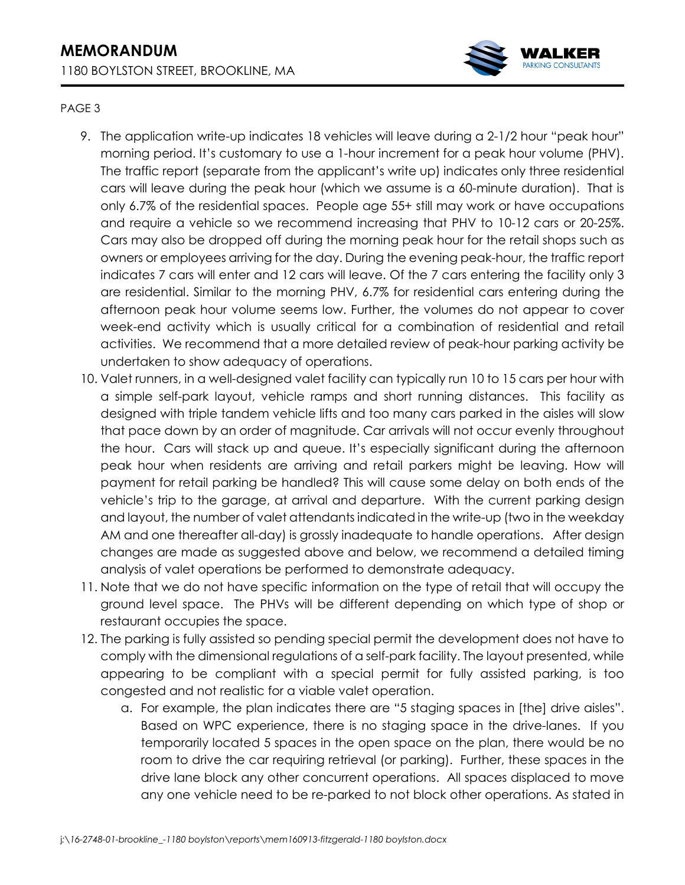

## PAGE 3

- 9. The application write-up indicates 18 vehicles will leave during a 2-1/2 hour "peak hour" morning period. It's customary to use a 1-hour increment for a peak hour volume (PHV). The traffic report (separate from the applicant's write up) indicates only three residential cars will leave during the peak hour (which we assume is a 60-minute duration). That is only 6.7% of the residential spaces. People age 55+ still may work or have occupations and require a vehicle so we recommend increasing that PHV to 10-12 cars or 20-25%. Cars may also be dropped off during the morning peak hour for the retail shops such as owners or employees arriving for the day. During the evening peak-hour, the traffic report indicates 7 cars will enter and 12 cars will leave. Of the 7 cars entering the facility only 3 are residential. Similar to the morning PHV, 6.7% for residential cars entering during the afternoon peak hour volume seems low. Further, the volumes do not appear to cover week-end activity which is usually critical for a combination of residential and retail activities. We recommend that a more detailed review of peak-hour parking activity be undertaken to show adequacy of operations.
- 10. Valet runners, in a well-designed valet facility can typically run 10 to 15 cars per hour with a simple self-park layout, vehicle ramps and short running distances. This facility as designed with triple tandem vehicle lifts and too many cars parked in the aisles will slow that pace down by an order of magnitude. Car arrivals will not occur evenly throughout the hour. Cars will stack up and queue. It's especially significant during the afternoon peak hour when residents are arriving and retail parkers might be leaving. How will payment for retail parking be handled? This will cause some delay on both ends of the vehicle's trip to the garage, at arrival and departure. With the current parking design and layout, the number of valet attendants indicated in the write-up (two in the weekday AM and one thereafter all-day) is grossly inadequate to handle operations. After design changes are made as suggested above and below, we recommend a detailed timing analysis of valet operations be performed to demonstrate adequacy.
- 11. Note that we do not have specific information on the type of retail that will occupy the ground level space. The PHVs will be different depending on which type of shop or restaurant occupies the space.
- 12. The parking is fully assisted so pending special permit the development does not have to comply with the dimensional regulations of a self-park facility. The layout presented, while appearing to be compliant with a special permit for fully assisted parking, is too congested and not realistic for a viable valet operation.
	- a. For example, the plan indicates there are "5 staging spaces in [the] drive aisles". Based on WPC experience, there is no staging space in the drive-lanes. If you temporarily located 5 spaces in the open space on the plan, there would be no room to drive the car requiring retrieval (or parking). Further, these spaces in the drive lane block any other concurrent operations. All spaces displaced to move any one vehicle need to be re-parked to not block other operations. As stated in